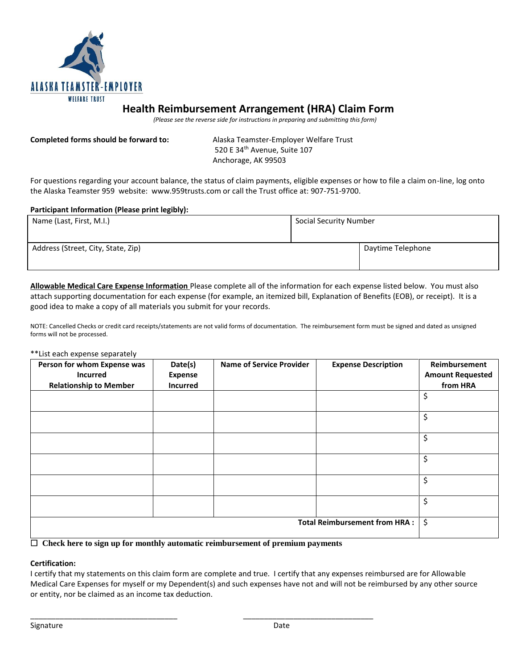

## **Health Reimbursement Arrangement (HRA) Claim Form**

 *(Please see the reverse side for instructions in preparing and submitting this form)*

**Completed forms should be forward to:** Alaska Teamster-Employer Welfare Trust 520 E 34<sup>th</sup> Avenue, Suite 107 Anchorage, AK 99503

For questions regarding your account balance, the status of claim payments, eligible expenses or how to file a claim on-line, log onto the Alaska Teamster 959 website: www.959trusts.com or call the Trust office at: 907-751-9700.

## **Participant Information (Please print legibly):**

| Name (Last, First, M.I.)           | Social Security Number |                   |
|------------------------------------|------------------------|-------------------|
| Address (Street, City, State, Zip) |                        | Daytime Telephone |

**Allowable Medical Care Expense Information** Please complete all of the information for each expense listed below. You must also attach supporting documentation for each expense (for example, an itemized bill, Explanation of Benefits (EOB), or receipt). It is a good idea to make a copy of all materials you submit for your records.

NOTE: Cancelled Checks or credit card receipts/statements are not valid forms of documentation. The reimbursement form must be signed and dated as unsigned forms will not be processed.

\*\*List each expense separately

| Person for whom Expense was                                                                                                                                                                                                                                                                                                                                                                                                                                                                                                                                                                                                                                                                                                                                                                                                                                     | Date(s)         | <b>Name of Service Provider</b> | <b>Expense Description</b> | Reimbursement           |
|-----------------------------------------------------------------------------------------------------------------------------------------------------------------------------------------------------------------------------------------------------------------------------------------------------------------------------------------------------------------------------------------------------------------------------------------------------------------------------------------------------------------------------------------------------------------------------------------------------------------------------------------------------------------------------------------------------------------------------------------------------------------------------------------------------------------------------------------------------------------|-----------------|---------------------------------|----------------------------|-------------------------|
| <b>Incurred</b>                                                                                                                                                                                                                                                                                                                                                                                                                                                                                                                                                                                                                                                                                                                                                                                                                                                 | <b>Expense</b>  |                                 |                            | <b>Amount Requested</b> |
| <b>Relationship to Member</b>                                                                                                                                                                                                                                                                                                                                                                                                                                                                                                                                                                                                                                                                                                                                                                                                                                   | <b>Incurred</b> |                                 |                            | from HRA                |
|                                                                                                                                                                                                                                                                                                                                                                                                                                                                                                                                                                                                                                                                                                                                                                                                                                                                 |                 |                                 |                            | \$                      |
|                                                                                                                                                                                                                                                                                                                                                                                                                                                                                                                                                                                                                                                                                                                                                                                                                                                                 |                 |                                 |                            | \$                      |
|                                                                                                                                                                                                                                                                                                                                                                                                                                                                                                                                                                                                                                                                                                                                                                                                                                                                 |                 |                                 |                            | \$                      |
|                                                                                                                                                                                                                                                                                                                                                                                                                                                                                                                                                                                                                                                                                                                                                                                                                                                                 |                 |                                 |                            | \$                      |
|                                                                                                                                                                                                                                                                                                                                                                                                                                                                                                                                                                                                                                                                                                                                                                                                                                                                 |                 |                                 |                            | \$                      |
|                                                                                                                                                                                                                                                                                                                                                                                                                                                                                                                                                                                                                                                                                                                                                                                                                                                                 |                 |                                 |                            | \$                      |
| <b>Total Reimbursement from HRA:</b><br>$\blacksquare$ $\sim$ $\blacksquare$ $\blacksquare$ $\blacksquare$ $\blacksquare$ $\blacksquare$ $\blacksquare$ $\blacksquare$ $\blacksquare$ $\blacksquare$ $\blacksquare$ $\blacksquare$ $\blacksquare$ $\blacksquare$ $\blacksquare$ $\blacksquare$ $\blacksquare$ $\blacksquare$ $\blacksquare$ $\blacksquare$ $\blacksquare$ $\blacksquare$ $\blacksquare$ $\blacksquare$ $\blacksquare$ $\blacksquare$ $\blacksquare$ $\blacksquare$ $\blacksquare$ $\blacksquare$ $\blacksquare$<br>$\sim$ . $\sim$ . $\sim$ . $\sim$ . $\sim$ . $\sim$ . $\sim$ . $\sim$ . $\sim$ . $\sim$ . $\sim$ . $\sim$ . $\sim$ . $\sim$ . $\sim$ . $\sim$ . $\sim$ . $\sim$ . $\sim$ . $\sim$ . $\sim$ . $\sim$ . $\sim$ . $\sim$ . $\sim$ . $\sim$ . $\sim$ . $\sim$ . $\sim$ . $\sim$ . $\sim$ . $\sim$<br>$\sim$ $\sim$ $\sim$ $\sim$ |                 |                                 |                            | \$                      |

 **Check here to sign up for monthly automatic reimbursement of premium payments**

\_\_\_\_\_\_\_\_\_\_\_\_\_\_\_\_\_\_\_\_\_\_\_\_\_\_\_\_\_\_\_\_\_\_\_ \_\_\_\_\_\_\_\_\_\_\_\_\_\_\_\_\_\_\_\_\_\_\_\_\_\_\_\_\_\_\_

## **Certification:**

I certify that my statements on this claim form are complete and true. I certify that any expenses reimbursed are for Allowable Medical Care Expenses for myself or my Dependent(s) and such expenses have not and will not be reimbursed by any other source or entity, nor be claimed as an income tax deduction.